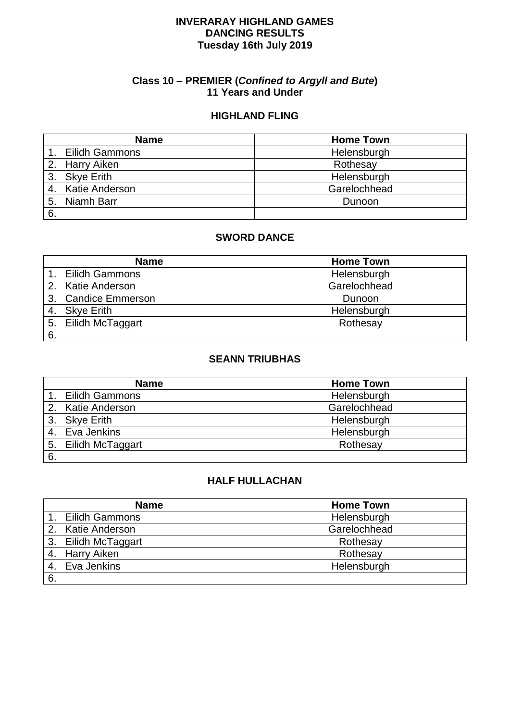#### **INVERARAY HIGHLAND GAMES DANCING RESULTS Tuesday 16th July 2019**

#### **Class 10 – PREMIER (***Confined to Argyll and Bute***) 11 Years and Under**

#### **HIGHLAND FLING**

|    | <b>Name</b>       | <b>Home Town</b> |
|----|-------------------|------------------|
|    | Eilidh Gammons    | Helensburgh      |
|    | 2. Harry Aiken    | Rothesay         |
|    | 3. Skye Erith     | Helensburgh      |
|    | 4. Katie Anderson | Garelochhead     |
| 5. | Niamh Barr        | Dunoon           |
| 6. |                   |                  |

#### **SWORD DANCE**

| <b>Name</b>         | <b>Home Town</b> |
|---------------------|------------------|
| 1. Eilidh Gammons   | Helensburgh      |
| 2. Katie Anderson   | Garelochhead     |
| 3. Candice Emmerson | Dunoon           |
| 4. Skye Erith       | Helensburgh      |
| 5. Eilidh McTaggart | Rothesay         |
| 6.                  |                  |

#### **SEANN TRIUBHAS**

|    | <b>Name</b>         | <b>Home Town</b> |
|----|---------------------|------------------|
|    | 1. Eilidh Gammons   | Helensburgh      |
|    | 2. Katie Anderson   | Garelochhead     |
|    | 3. Skye Erith       | Helensburgh      |
|    | 4. Eva Jenkins      | Helensburgh      |
|    | 5. Eilidh McTaggart | Rothesay         |
| 6. |                     |                  |

| <b>Name</b>           | <b>Home Town</b> |
|-----------------------|------------------|
| <b>Eilidh Gammons</b> | Helensburgh      |
| 2. Katie Anderson     | Garelochhead     |
| 3. Eilidh McTaggart   | Rothesay         |
| 4. Harry Aiken        | Rothesay         |
| 4. Eva Jenkins        | Helensburgh      |
| 6.                    |                  |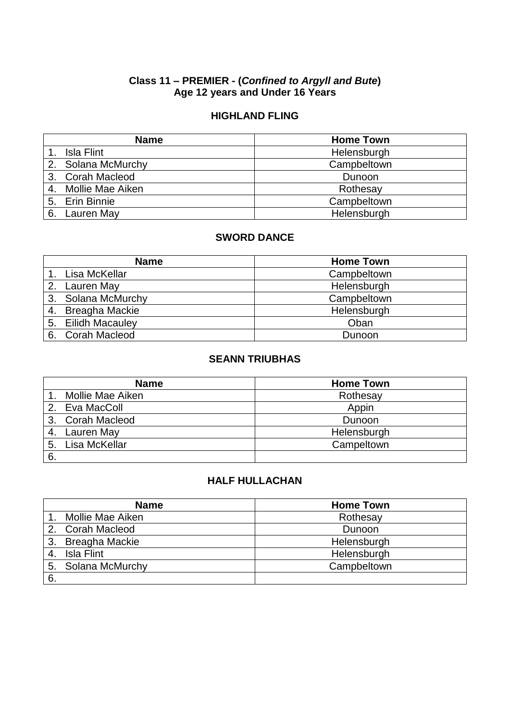### **Class 11 – PREMIER - (***Confined to Argyll and Bute***) Age 12 years and Under 16 Years**

### **HIGHLAND FLING**

|    | <b>Name</b>         | <b>Home Town</b> |
|----|---------------------|------------------|
|    | Isla Flint          | Helensburgh      |
|    | 2. Solana McMurchy  | Campbeltown      |
|    | 3. Corah Macleod    | Dunoon           |
|    | 4. Mollie Mae Aiken | Rothesay         |
|    | 5. Erin Binnie      | Campbeltown      |
| 6. | Lauren May          | Helensburgh      |

#### **SWORD DANCE**

| <b>Name</b>        | <b>Home Town</b> |
|--------------------|------------------|
| Lisa McKellar      | Campbeltown      |
| 2. Lauren May      | Helensburgh      |
| 3. Solana McMurchy | Campbeltown      |
| 4. Breagha Mackie  | Helensburgh      |
| 5. Eilidh Macauley | Oban             |
| 6. Corah Macleod   | Dunoon           |

#### **SEANN TRIUBHAS**

|     | <b>Name</b>      | <b>Home Town</b> |
|-----|------------------|------------------|
|     | Mollie Mae Aiken | Rothesay         |
|     | 2. Eva MacColl   | Appin            |
|     | 3. Corah Macleod | Dunoon           |
| -4. | Lauren May       | Helensburgh      |
| 5.  | Lisa McKellar    | Campeltown       |
| 6.  |                  |                  |

|    | <b>Name</b>        | <b>Home Town</b> |
|----|--------------------|------------------|
|    | Mollie Mae Aiken   | Rothesay         |
|    | 2. Corah Macleod   | Dunoon           |
| 3. | Breagha Mackie     | Helensburgh      |
|    | Isla Flint         | Helensburgh      |
|    | 5. Solana McMurchy | Campbeltown      |
| 6. |                    |                  |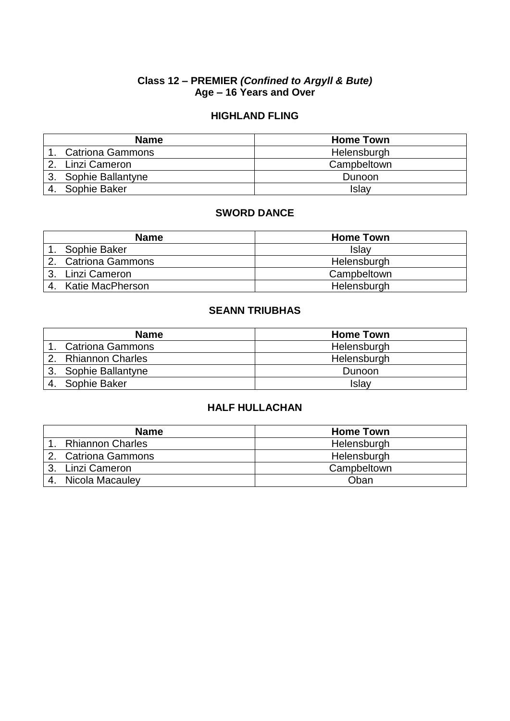### **Class 12 – PREMIER** *(Confined to Argyll & Bute)* **Age – 16 Years and Over**

### **HIGHLAND FLING**

|    | <b>Name</b>             | <b>Home Town</b> |
|----|-------------------------|------------------|
|    | <b>Catriona Gammons</b> | Helensburgh      |
| 2. | Linzi Cameron           | Campbeltown      |
|    | 3. Sophie Ballantyne    | Dunoon           |
|    | 4. Sophie Baker         | Islay            |

### **SWORD DANCE**

| <b>Name</b>         | <b>Home Town</b> |
|---------------------|------------------|
| Sophie Baker        | Islav            |
| 2. Catriona Gammons | Helensburgh      |
| Linzi Cameron<br>3. | Campbeltown      |
| Katie MacPherson    | Helensburgh      |

## **SEANN TRIUBHAS**

|    | <b>Name</b>             | <b>Home Town</b> |
|----|-------------------------|------------------|
|    | <b>Catriona Gammons</b> | Helensburgh      |
|    | 2. Rhiannon Charles     | Helensburgh      |
| 3. | Sophie Ballantyne       | Dunoon           |
|    | Sophie Baker            | Islay            |

| <b>Name</b>             | <b>Home Town</b> |
|-------------------------|------------------|
| <b>Rhiannon Charles</b> | Helensburgh      |
| 2. Catriona Gammons     | Helensburgh      |
| 3. Linzi Cameron        | Campbeltown      |
| Nicola Macauley         | Oban             |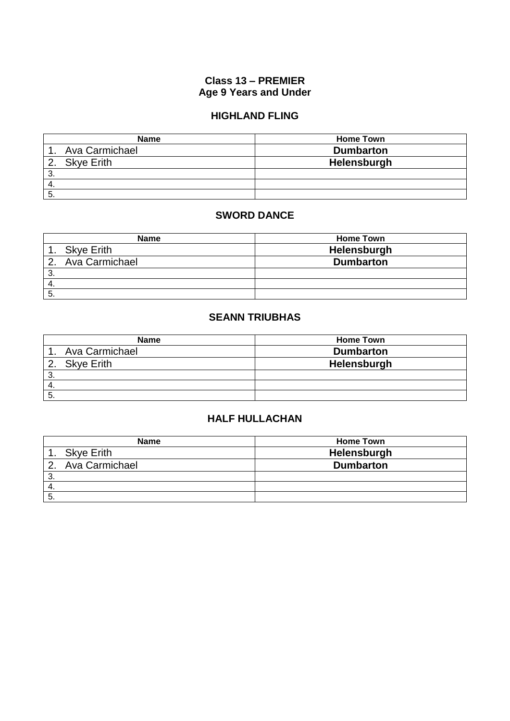### **Class 13 – PREMIER Age 9 Years and Under**

## **HIGHLAND FLING**

| <b>Name</b>    | <b>Home Town</b> |
|----------------|------------------|
| Ava Carmichael | <b>Dumbarton</b> |
| 2. Skye Erith  | Helensburgh      |
| 3              |                  |
| -4.            |                  |
| ົວ             |                  |

### **SWORD DANCE**

|         | <b>Name</b>       | <b>Home Town</b> |
|---------|-------------------|------------------|
|         | <b>Skye Erith</b> | Helensburgh      |
| $2_{-}$ | Ava Carmichael    | <b>Dumbarton</b> |
| ົ<br>ت  |                   |                  |
| -4.     |                   |                  |
| C       |                   |                  |

# **SEANN TRIUBHAS**

| <b>Name</b>       | <b>Home Town</b> |
|-------------------|------------------|
| Ava Carmichael    | <b>Dumbarton</b> |
| <b>Skye Erith</b> | Helensburgh      |
| ົ<br>ు.           |                  |
| -4.               |                  |
| 5.                |                  |

|    | <b>Name</b>       | <b>Home Town</b> |
|----|-------------------|------------------|
|    | <b>Skye Erith</b> | Helensburgh      |
|    | Ava Carmichael    | <b>Dumbarton</b> |
| ు. |                   |                  |
|    |                   |                  |
| ა. |                   |                  |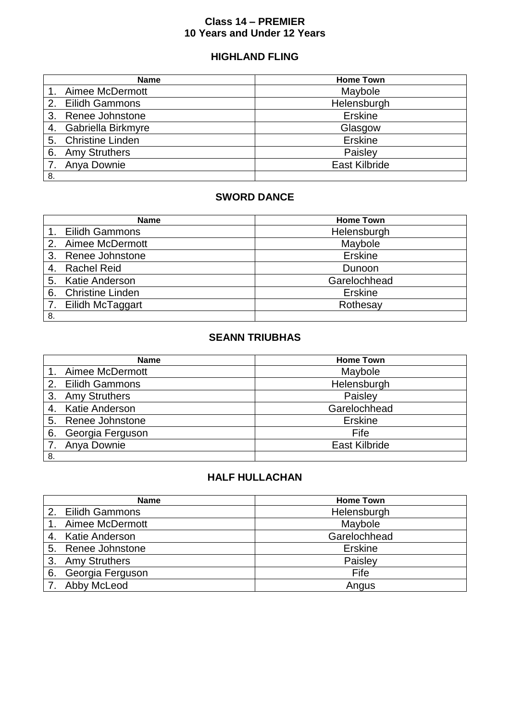### **Class 14 – PREMIER 10 Years and Under 12 Years**

## **HIGHLAND FLING**

| <b>Name</b>                   | <b>Home Town</b>     |
|-------------------------------|----------------------|
| Aimee McDermott               | Maybole              |
| <b>Eilidh Gammons</b><br>2.   | Helensburgh          |
| Renee Johnstone<br>3.         | Erskine              |
| Gabriella Birkmyre<br>4.      | Glasgow              |
| <b>Christine Linden</b><br>5. | <b>Erskine</b>       |
| <b>Amy Struthers</b><br>6.    | Paisley              |
| Anya Downie                   | <b>East Kilbride</b> |
| 8.                            |                      |

## **SWORD DANCE**

|    | <b>Name</b>             | <b>Home Town</b> |
|----|-------------------------|------------------|
|    | 1. Eilidh Gammons       | Helensburgh      |
|    | 2. Aimee McDermott      | Maybole          |
| 3. | Renee Johnstone         | <b>Erskine</b>   |
|    | <b>Rachel Reid</b>      | Dunoon           |
|    | 5. Katie Anderson       | Garelochhead     |
| 6. | <b>Christine Linden</b> | <b>Erskine</b>   |
|    | 7. Eilidh McTaggart     | Rothesay         |
| 8. |                         |                  |

# **SEANN TRIUBHAS**

|    | <b>Name</b>        | <b>Home Town</b>     |
|----|--------------------|----------------------|
|    | 1. Aimee McDermott | Maybole              |
|    | 2. Eilidh Gammons  | Helensburgh          |
|    | 3. Amy Struthers   | Paisley              |
|    | 4. Katie Anderson  | Garelochhead         |
|    | 5. Renee Johnstone | <b>Erskine</b>       |
| 6. | Georgia Ferguson   | Fife                 |
|    | 7. Anya Downie     | <b>East Kilbride</b> |
| 8. |                    |                      |

|    | <b>Name</b>        | <b>Home Town</b> |
|----|--------------------|------------------|
|    | 2. Eilidh Gammons  | Helensburgh      |
|    | Aimee McDermott    | Maybole          |
|    | 4. Katie Anderson  | Garelochhead     |
|    | 5. Renee Johnstone | <b>Erskine</b>   |
|    | 3. Amy Struthers   | Paisley          |
| 6. | Georgia Ferguson   | Fife             |
|    | 7. Abby McLeod     | Angus            |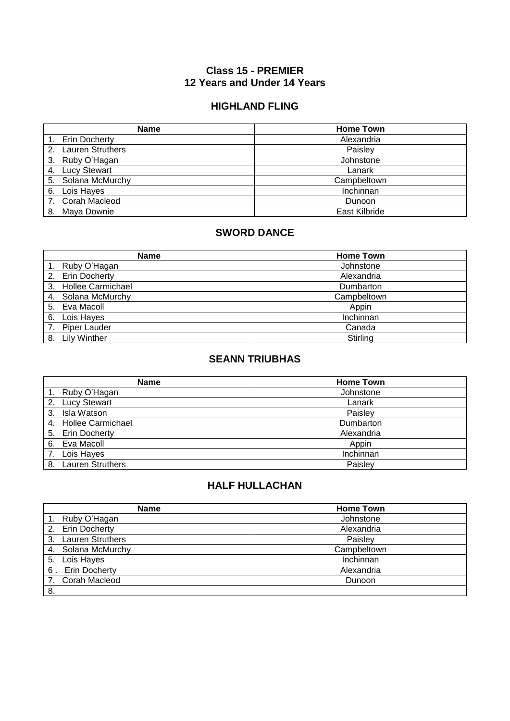### **Class 15 - PREMIER 12 Years and Under 14 Years**

### **HIGHLAND FLING**

|    | <b>Name</b>             | <b>Home Town</b> |
|----|-------------------------|------------------|
|    | Erin Docherty           | Alexandria       |
| 2. | <b>Lauren Struthers</b> | Paisley          |
| 3. | Ruby O'Hagan            | Johnstone        |
| 4. | <b>Lucy Stewart</b>     | Lanark           |
| 5. | Solana McMurchy         | Campbeltown      |
| 6. | Lois Hayes              | Inchinnan        |
|    | 7. Corah Macleod        | Dunoon           |
| 8. | Maya Downie             | East Kilbride    |

### **SWORD DANCE**

| <b>Name</b>                    | <b>Home Town</b> |
|--------------------------------|------------------|
| Ruby O'Hagan                   | Johnstone        |
| <b>Erin Docherty</b><br>2.     | Alexandria       |
| <b>Hollee Carmichael</b><br>3. | Dumbarton        |
| Solana McMurchy<br>4.          | Campbeltown      |
| Eva Macoll<br>5.               | Appin            |
| Lois Hayes<br>6.               | Inchinnan        |
| <b>Piper Lauder</b>            | Canada           |
| <b>Lily Winther</b><br>8.      | Stirling         |

#### **SEANN TRIUBHAS**

| <b>Name</b>                   | <b>Home Town</b> |
|-------------------------------|------------------|
| Ruby O'Hagan                  | Johnstone        |
| <b>Lucy Stewart</b><br>2.     | Lanark           |
| Isla Watson<br>3.             | Paisley          |
| 4. Hollee Carmichael          | Dumbarton        |
| 5. Erin Docherty              | Alexandria       |
| Eva Macoll<br>6.              | Appin            |
| Lois Hayes                    | Inchinnan        |
| <b>Lauren Struthers</b><br>8. | Paisley          |

| <b>Name</b>                   | <b>Home Town</b> |
|-------------------------------|------------------|
| Ruby O'Hagan                  | Johnstone        |
| Erin Docherty<br>2.           | Alexandria       |
| <b>Lauren Struthers</b><br>3. | Paisley          |
| 4. Solana McMurchy            | Campbeltown      |
| 5. Lois Hayes                 | Inchinnan        |
| 6. Erin Docherty              | Alexandria       |
| 7. Corah Macleod              | Dunoon           |
| 8.                            |                  |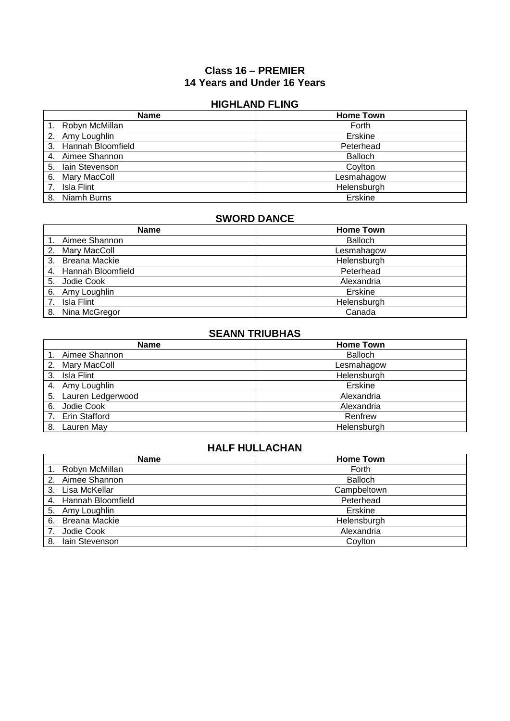#### **Class 16 – PREMIER 14 Years and Under 16 Years**

#### **HIGHLAND FLING**

| <b>Name</b>             | <b>Home Town</b> |
|-------------------------|------------------|
| Robyn McMillan          | Forth            |
| Amy Loughlin<br>2.      | Erskine          |
| Hannah Bloomfield<br>3. | Peterhead        |
| Aimee Shannon<br>4.     | <b>Balloch</b>   |
| lain Stevenson<br>5.    | Coylton          |
| Mary MacColl<br>6.      | Lesmahagow       |
| Isla Flint              | Helensburgh      |
| Niamh Burns<br>8.       | Erskine          |

### **SWORD DANCE**

| <b>Name</b>                | <b>Home Town</b> |
|----------------------------|------------------|
| Aimee Shannon              | <b>Balloch</b>   |
| Mary MacColl<br>2.         | Lesmahagow       |
| <b>Breana Mackie</b><br>3. | Helensburgh      |
| 4. Hannah Bloomfield       | Peterhead        |
| 5. Jodie Cook              | Alexandria       |
| Amy Loughlin<br>6.         | Erskine          |
| Isla Flint                 | Helensburgh      |
| Nina McGregor<br>8.        | Canada           |

### **SEANN TRIUBHAS**

| <b>Name</b>          | <b>Home Town</b> |
|----------------------|------------------|
| Aimee Shannon        | <b>Balloch</b>   |
| 2. Mary MacColl      | Lesmahagow       |
| Isla Flint<br>3.     | Helensburgh      |
| Amy Loughlin<br>4.   | Erskine          |
| 5. Lauren Ledgerwood | Alexandria       |
| Jodie Cook<br>6.     | Alexandria       |
| <b>Erin Stafford</b> | Renfrew          |
| Lauren May<br>8.     | Helensburgh      |

| <b>Name</b>          | <b>Home Town</b> |
|----------------------|------------------|
| Robyn McMillan       | Forth            |
| Aimee Shannon<br>2.  | <b>Balloch</b>   |
| Lisa McKellar<br>3.  | Campbeltown      |
| 4. Hannah Bloomfield | Peterhead        |
| Amy Loughlin<br>5.   | Erskine          |
| Breana Mackie<br>6.  | Helensburgh      |
| Jodie Cook           | Alexandria       |
| lain Stevenson<br>8. | Coylton          |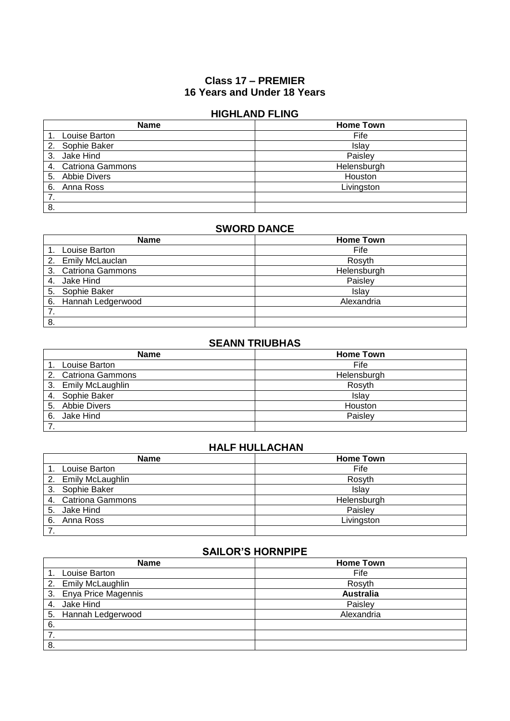### **Class 17 – PREMIER 16 Years and Under 18 Years**

#### **HIGHLAND FLING**

| <b>Name</b>         | <b>Home Town</b> |
|---------------------|------------------|
| Louise Barton       | Fife             |
| Sophie Baker<br>2.  | Islay            |
| Jake Hind<br>3.     | Paisley          |
| 4. Catriona Gammons | Helensburgh      |
| 5. Abbie Divers     | Houston          |
| Anna Ross<br>6.     | Livingston       |
| 7.                  |                  |
| 8.                  |                  |

#### **SWORD DANCE**

| <b>Name</b>          | <b>Home Town</b> |
|----------------------|------------------|
| Louise Barton        | Fife             |
| 2. Emily McLauclan   | Rosyth           |
| 3. Catriona Gammons  | Helensburgh      |
| 4. Jake Hind         | Paisley          |
| 5. Sophie Baker      | Islav            |
| 6. Hannah Ledgerwood | Alexandria       |
|                      |                  |
| 8.                   |                  |

### **SEANN TRIUBHAS**

| <b>Name</b>         | <b>Home Town</b> |
|---------------------|------------------|
| Louise Barton       | Fife             |
| 2. Catriona Gammons | Helensburgh      |
| 3. Emily McLaughlin | Rosyth           |
| 4. Sophie Baker     | Islay            |
| 5. Abbie Divers     | Houston          |
| Jake Hind<br>6.     | Paisley          |
|                     |                  |

## **HALF HULLACHAN**

| <b>Name</b>         | <b>Home Town</b> |
|---------------------|------------------|
| Louise Barton       | Fife             |
| 2. Emily McLaughlin | Rosyth           |
| 3. Sophie Baker     | Islay            |
| 4. Catriona Gammons | Helensburgh      |
| Jake Hind<br>5.     | Paisley          |
| Anna Ross<br>6.     | Livingston       |
|                     |                  |

## **SAILOR'S HORNPIPE**

| <b>Name</b>             | <b>Home Town</b> |
|-------------------------|------------------|
| Louise Barton           | Fife             |
| 2. Emily McLaughlin     | Rosyth           |
| 3. Enya Price Magennis  | <b>Australia</b> |
| Jake Hind<br>4.         | Paisley          |
| Hannah Ledgerwood<br>5. | Alexandria       |
| 6.                      |                  |
|                         |                  |
| -8.                     |                  |